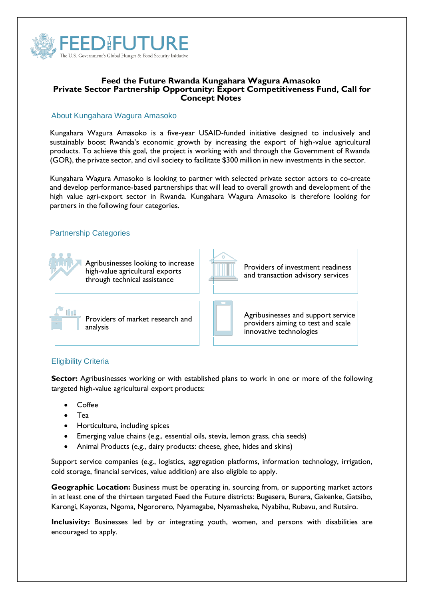

### **Feed the Future Rwanda Kungahara Wagura Amasoko Private Sector Partnership Opportunity: Export Competitiveness Fund, Call for Concept Notes**

## About Kungahara Wagura Amasoko

Kungahara Wagura Amasoko is a five-year USAID-funded initiative designed to inclusively and sustainably boost Rwanda's economic growth by increasing the export of high-value agricultural products. To achieve this goal, the project is working with and through the Government of Rwanda (GOR), the private sector, and civil society to facilitate \$300 million in new investments in the sector.

Kungahara Wagura Amasoko is looking to partner with selected private sector actors to co-create and develop performance-based partnerships that will lead to overall growth and development of the high value agri-export sector in Rwanda. Kungahara Wagura Amasoko is therefore looking for partners in the following four categories.

# Partnership Categories





Providers of investment readiness and transaction advisory services



Providers of market research and

Agribusinesses and support service providers aiming to test and scale innovative technologies

# Eligibility Criteria

**Sector:** Agribusinesses working or with established plans to work in one or more of the following targeted high-value agricultural export products:

- **Coffee**
- Tea
- Horticulture, including spices
- Emerging value chains (e.g., essential oils, stevia, lemon grass, chia seeds)
- Animal Products (e.g., dairy products: cheese, ghee, hides and skins)

Support service companies (e.g., logistics, aggregation platforms, information technology, irrigation, cold storage, financial services, value addition) are also eligible to apply.

**Geographic Location:** Business must be operating in, sourcing from, or supporting market actors in at least one of the thirteen targeted Feed the Future districts: Bugesera, Burera, Gakenke, Gatsibo, Karongi, Kayonza, Ngoma, Ngororero, Nyamagabe, Nyamasheke, Nyabihu, Rubavu, and Rutsiro.

**Inclusivity:** Businesses led by or integrating youth, women, and persons with disabilities are encouraged to apply.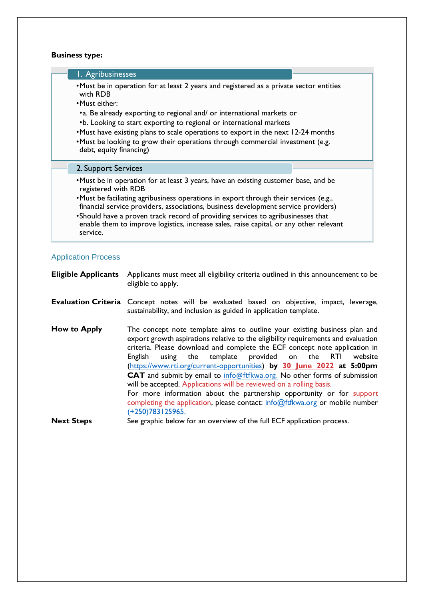### **Business type:**

#### 1. Agribusinesses

•Must be in operation for at least 2 years and registered as a private sector entities with RDB

- •Must either:
- •a. Be already exporting to regional and/ or international markets or
- •b. Looking to start exporting to regional or international markets
- •Must have existing plans to scale operations to export in the next 12-24 months
- •Must be looking to grow their operations through commercial investment (e.g. debt, equity financing)

#### 2. Support Services

- •Must be in operation for at least 3 years, have an existing customer base, and be registered with RDB
- •Must be faciliating agribusiness operations in export through their services (e.g., financial service providers, associations, business development service providers)
- •Should have a proven track record of providing services to agribusinesses that enable them to improve logistics, increase sales, raise capital, or any other relevant service.

#### Application Process

**Eligible Applicants** Applicants must meet all eligibility criteria outlined in this announcement to be eligible to apply.

- **Evaluation Criteria** Concept notes will be evaluated based on objective, impact, leverage, sustainability, and inclusion as guided in application template.
- **How to Apply** The concept note template aims to outline your existing business plan and export growth aspirations relative to the eligibility requirements and evaluation criteria. Please download and complete the ECF concept note application in English using the template provided on the RTI website (https://www.rti.org/current-opportunities) **by 30 June 2022 at 5:00pm CAT** and submit by email to [info@ftfkwa.org.](mailto:info@ftfkwa.org) No other forms of submission will be accepted. Applications will be reviewed on a rolling basis. For more information about the partnership opportunity or for support completing the application, please contact:  $info@ftfkwa.org$  or mobile number (+250)783125965.

**Next Steps** See graphic below for an overview of the full ECF application process.